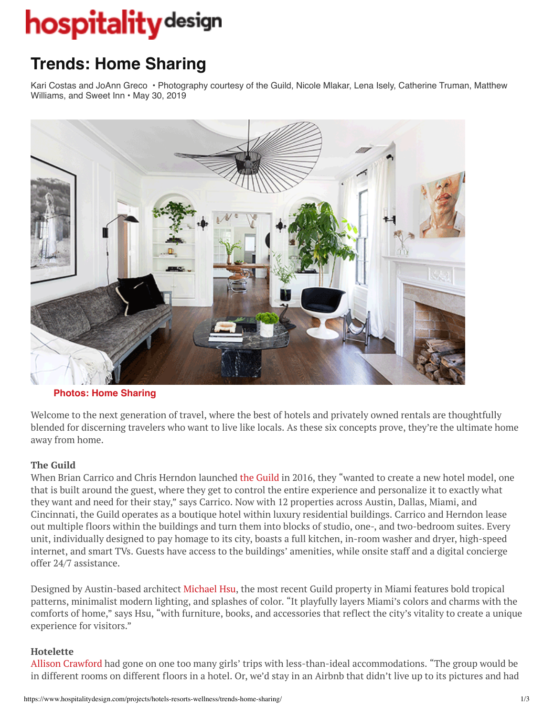# **hospitality** design

## **Trends: Home Sharing**

Kari Costas and JoAnn Greco • Photography courtesy of the Guild, Nicole Mlakar, Lena Isely, Catherine Truman, Matthew Williams, and Sweet Inn • May 30, 2019



#### **[Photos: Home Sharing](https://www.hospitalitydesign.com/galleries/editorial/photos-home-sharing/?articletitle=Trends:%20Home%20Sharing&articleurl=76685)**

Welcome to the next generation of travel, where the best of hotels and privately owned rentals are thoughtfully blended for discerning travelers who want to live like locals. As these six concepts prove, they're the ultimate home away from home.

#### **The Guild**

When Brian Carrico and Chris Herndon launched [the Guild](https://theguild.co/) in 2016, they "wanted to create a new hotel model, one that is built around the guest, where they get to control the entire experience and personalize it to exactly what they want and need for their stay," says Carrico. Now with 12 properties across Austin, Dallas, Miami, and Cincinnati, the Guild operates as a boutique hotel within luxury residential buildings. Carrico and Herndon lease out multiple floors within the buildings and turn them into blocks of studio, one-, and two-bedroom suites. Every unit, individually designed to pay homage to its city, boasts a full kitchen, in-room washer and dryer, high-speed internet, and smart TVs. Guests have access to the buildings' amenities, while onsite staff and a digital concierge offer 24/7 assistance.

Designed by Austin-based architect [Michael Hsu,](https://hsuoffice.com/) the most recent Guild property in Miami features bold tropical patterns, minimalist modern lighting, and splashes of color. "It playfully layers Miami's colors and charms with the comforts of home," says Hsu, "with furniture, books, and accessories that reflect the city's vitality to create a unique experience for visitors."

#### **Hotelette**

[Allison Crawford](https://www.allisoncrawforddesign.com/) had gone on one too many girls' trips with less-than-ideal accommodations. "The group would be in different rooms on different floors in a hotel. Or, we'd stay in an Airbnb that didn't live up to its pictures and had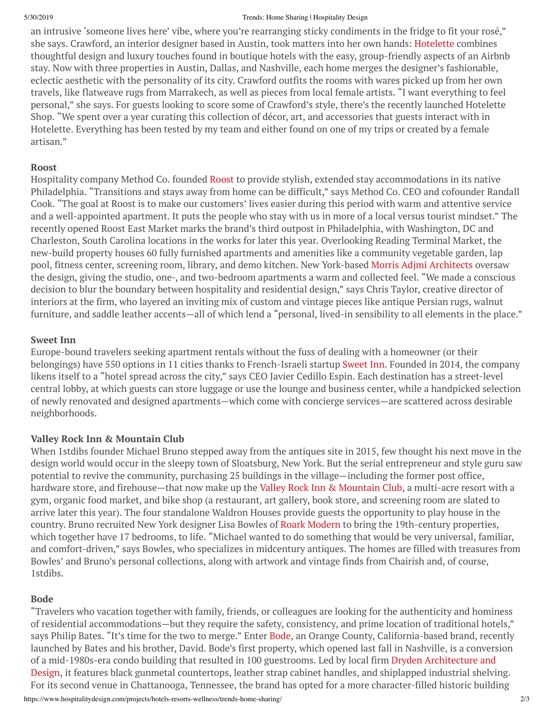#### 5/30/2019 Trends: Home Sharing | Hospitality Design

an intrusive 'someone lives here' vibe, where you're rearranging sticky condiments in the fridge to fit your rosé," she says. Crawford, an interior designer based in Austin, took matters into her own hands: [Hotelette](https://www.hotelette.com/) combines thoughtful design and luxury touches found in boutique hotels with the easy, group-friendly aspects of an Airbnb stay. Now with three properties in Austin, Dallas, and Nashville, each home merges the designer's fashionable, eclectic aesthetic with the personality of its city. Crawford outfits the rooms with wares picked up from her own travels, like flatweave rugs from Marrakech, as well as pieces from local female artists. "I want everything to feel personal," she says. For guests looking to score some of Crawford's style, there's the recently launched Hotelette Shop. "We spent over a year curating this collection of décor, art, and accessories that guests interact with in Hotelette. Everything has been tested by my team and either found on one of my trips or created by a female artisan."

#### **Roost**

Hospitality company Method Co. founded [Roost](https://myroost.com/) to provide stylish, extended stay accommodations in its native Philadelphia. "Transitions and stays away from home can be difficult," says Method Co. CEO and cofounder Randall Cook. "The goal at Roost is to make our customers' lives easier during this period with warm and attentive service and a well-appointed apartment. It puts the people who stay with us in more of a local versus tourist mindset." The recently opened Roost East Market marks the brand's third outpost in Philadelphia, with Washington, DC and Charleston, South Carolina locations in the works for later this year. Overlooking Reading Terminal Market, the new-build property houses 60 fully furnished apartments and amenities like a community vegetable garden, lap pool, fitness center, screening room, library, and demo kitchen. New York-based Morris Adjmi [Architects](https://www.ma.com/) oversaw the design, giving the studio, one-, and two-bedroom apartments a warm and collected feel. "We made a conscious decision to blur the boundary between hospitality and residential design," says Chris Taylor, creative director of interiors at the firm, who layered an inviting mix of custom and vintage pieces like antique Persian rugs, walnut furniture, and saddle leather accents—all of which lend a "personal, lived-in sensibility to all elements in the place."

#### **Sweet Inn**

Europe-bound travelers seeking apartment rentals without the fuss of dealing with a homeowner (or their belongings) have 550 options in 11 cities thanks to French-Israeli startup [Sweet](https://www.sweetinn.com/) Inn. Founded in 2014, the company likens itself to a "hotel spread across the city," says CEO Javier Cedillo Espin. Each destination has a street-level central lobby, at which guests can store luggage or use the lounge and business center, while a handpicked selection of newly renovated and designed apartments—which come with concierge services—are scattered across desirable neighborhoods.

### **Valley Rock Inn & Mountain Club**

When 1stdibs founder Michael Bruno stepped away from the antiques site in 2015, few thought his next move in the design world would occur in the sleepy town of Sloatsburg, New York. But the serial entrepreneur and style guru saw potential to revive the community, purchasing 25 buildings in the village—including the former post office, hardware store, and firehouse—that now make up the Valley Rock Inn [& Mountain](https://valleyrockinn.com/) Club, a multi-acre resort with a gym, organic food market, and bike shop (a restaurant, art gallery, book store, and screening room are slated to arrive later this year). The four standalone Waldron Houses provide guests the opportunity to play house in the country. Bruno recruited New York designer Lisa Bowles of Roark [Modern](http://roarkmodern.com/) to bring the 19th-century properties, which together have 17 bedrooms, to life. "Michael wanted to do something that would be very universal, familiar, and comfort-driven," says Bowles, who specializes in midcentury antiques. The homes are filled with treasures from Bowles' and Bruno's personal collections, along with artwork and vintage finds from Chairish and, of course, 1stdibs.

### **Bode**

"Travelers who vacation together with family, friends, or colleagues are looking for the authenticity and hominess of residential accommodations—but they require the safety, consistency, and prime location of traditional hotels," says Philip Bates. "It's time for the two to merge." Enter [Bode](https://www.bode.co/), an Orange County, California-based brand, recently launched by Bates and his brother, David. Bode's first property, which opened last fall in Nashville, is a conversion of a [mid-1980s-era](https://www.daad-group.com/) condo building that resulted in 100 guestrooms. Led by local firm Dryden Architecture and Design, it features black gunmetal countertops, leather strap cabinet handles, and shiplapped industrial shelving. For its second venue in Chattanooga, Tennessee, the brand has opted for a more character-filled historic building